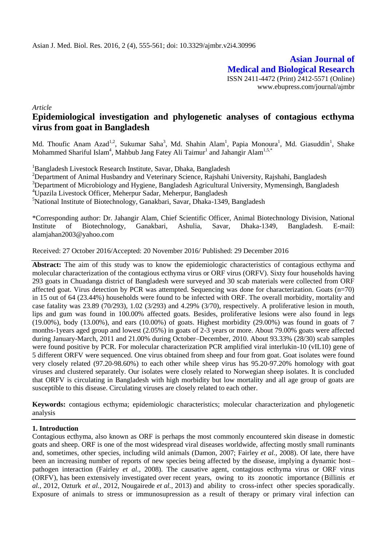**Asian Journal of Medical and Biological Research** ISSN 2411-4472 (Print) 2412-5571 (Online) www.ebupress.com/journal/ajmbr

*Article*

# **Epidemiological investigation and phylogenetic analyses of contagious ecthyma virus from goat in Bangladesh**

Md. Thoufic Anam Azad<sup>1,2</sup>, Sukumar Saha<sup>3</sup>, Md. Shahin Alam<sup>1</sup>, Papia Monoura<sup>1</sup>, Md. Giasuddin<sup>1</sup>, Shake Mohammed Shariful Islam<sup>4</sup>, Mahbub Jang Fatey Ali Taimur<sup>1</sup> and Jahangir Alam<sup>1,5,\*</sup>

<sup>1</sup>Bangladesh Livestock Research Institute, Savar, Dhaka, Bangladesh

<sup>2</sup>Department of Animal Husbandry and Veterinary Science, Rajshahi University, Rajshahi, Bangladesh

<sup>3</sup>Department of Microbiology and Hygiene, Bangladesh Agricultural University, Mymensingh, Bangladesh

<sup>4</sup>Upazila Livestock Officer, Meherpur Sadar, Meherpur, Bangladesh

<sup>5</sup>National Institute of Biotechnology, Ganakbari, Savar, Dhaka-1349, Bangladesh

\*Corresponding author: Dr. Jahangir Alam, Chief Scientific Officer, Animal Biotechnology Division, National Institute of Biotechnology, Ganakbari, Ashulia, Savar, Dhaka-1349, Bangladesh. E-mail: [alamjahan2003@yahoo.com](mailto:alamjahan2003@yahoo.com) 

Received: 27 October 2016/Accepted: 20 November 2016/ Published: 29 December 2016

**Abstract:** The aim of this study was to know the epidemiologic characteristics of contagious ecthyma and molecular characterization of the contagious ecthyma virus or ORF virus (ORFV). Sixty four households having 293 goats in Chuadanga district of Bangladesh were surveyed and 30 scab materials were collected from ORF affected goat. Virus detection by PCR was attempted. Sequencing was done for characterization. Goats (n=70) in 15 out of 64 (23.44%) households were found to be infected with ORF. The overall morbidity, mortality and case fatality was 23.89 (70/293), 1.02 (3/293) and 4.29% (3/70), respectively. A proliferative lesion in mouth, lips and gum was found in 100.00% affected goats. Besides, proliferative lesions were also found in legs (19.00%), body (13.00%), and ears (10.00%) of goats. Highest morbidity (29.00%) was found in goats of 7 months-1years aged group and lowest (2.05%) in goats of 2-3 years or more. About 79.00% goats were affected during January-March, 2011 and 21.00% during October–December, 2010. About 93.33% (28/30) scab samples were found positive by PCR. For molecular characterization PCR amplified viral interlukin-10 (vIL10) gene of 5 different ORFV were sequenced. One virus obtained from sheep and four from goat. Goat isolates were found very closely related (97.20-98.60%) to each other while sheep virus has 95.20-97.20% homology with goat viruses and clustered separately. Our isolates were closely related to Norwegian sheep isolates. It is concluded that ORFV is circulating in Bangladesh with high morbidity but low mortality and all age group of goats are susceptible to this disease. Circulating viruses are closely related to each other.

**Keywords:** contagious ecthyma; epidemiologic characteristics; molecular characterization and phylogenetic analysis

# **1. Introduction**

Contagious ecthyma, also known as ORF is perhaps the most commonly encountered skin disease in domestic goats and sheep. ORF is one of the most widespread viral diseases worldwide, affecting mostly small ruminants and, sometimes, other species, including wild animals (Damon, 2007; Fairley *et al.,* 2008). Of late, there have been an increasing number of reports of new species being affected by the disease, implying a dynamic host– pathogen interaction (Fairley *et al.,* 2008). The causative agent, contagious ecthyma virus or ORF virus (ORFV), has been extensively investigated over recent years, owing to its zoonotic importance (Billinis *et al.,* 2012, Ozturk *et al.,* 2012, Nougairede *et al.,* 2013) and ability to cross-infect other species sporadically. Exposure of animals to stress or immunosupression as a result of therapy or primary viral infection can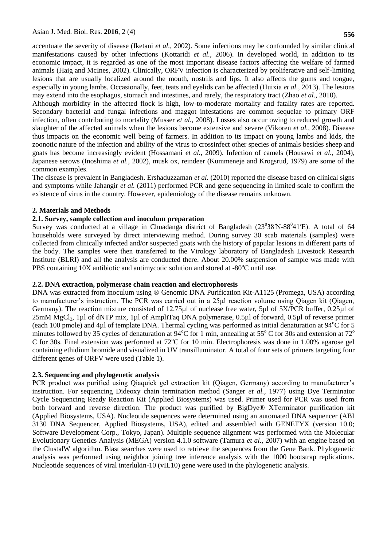accentuate the severity of disease (Iketani *et al.,* 2002). Some infections may be confounded by similar clinical manifestations caused by other infections (Kottaridi *et al.,* 2006). In developed world, in addition to its economic impact, it is regarded as one of the most important disease factors affecting the welfare of farmed animals (Haig and McInes, 2002). Clinically, ORFV infection is characterized by proliferative and self-limiting lesions that are usually localized around the mouth, nostrils and lips. It also affects the gums and tongue, especially in young lambs. Occasionally, feet, teats and eyelids can be affected (Huixia *et al.,* 2013). The lesions may extend into the esophagus, stomach and intestines, and rarely, the respiratory tract (Zhao *et al.,* 2010).

Although morbidity in the affected flock is high, low-to-moderate mortality and fatality rates are reported. Secondary bacterial and fungal infections and maggot infestations are common sequelae to primary ORF infection, often contributing to mortality (Musser *et al.,* 2008). Losses also occur owing to reduced growth and slaughter of the affected animals when the lesions become extensive and severe (Vikoren *et al.,* 2008). Disease thus impacts on the economic well being of farmers. In addition to its impact on young lambs and kids, the zoonotic nature of the infection and ability of the virus to crossinfect other species of animals besides sheep and goats has become increasingly evident (Hossamani *et al.,* 2009). Infection of camels (Housawi *et al.,* 2004), Japanese serows (Inoshima *et al.,* 2002), musk ox, reindeer (Kummeneje and Krogsrud, 1979) are some of the common examples.

The disease is prevalent in Bangladesh. Ershaduzzaman *et al.* (2010) reported the disease based on clinical signs and symptoms while Jahangir *et al.* (2011) performed PCR and gene sequencing in limited scale to confirm the existence of virus in the country. However, epidemiology of the disease remains unknown.

### **2. Materials and Methods**

### **2.1. Survey, sample collection and inoculum preparation**

Survey was conducted at a village in Chuadanga district of Bangladesh  $(23^038'N-88^041'E)$ . A total of 64 households were surveyed by direct interviewing method. During survey 30 scab materials (samples) were collected from clinically infected and/or suspected goats with the history of papular lesions in different parts of the body. The samples were then transferred to the Virology laboratory of Bangladesh Livestock Research Institute (BLRI) and all the analysis are conducted there. About 20.00% suspension of sample was made with PBS containing  $10X$  antibiotic and antimycotic solution and stored at  $-80^{\circ}$ C until use.

#### **2.2. DNA extraction, polymerase chain reaction and electrophoresis**

DNA was extracted from inoculum using ® Genomic DNA Purification Kit-A1125 (Promega, USA) according to manufacturer's instruction. The PCR was carried out in a 25µl reaction volume using Qiagen kit (Qiagen, Germany). The reaction mixture consisted of 12.75µl of nuclease free water, 5µl of 5X/PCR buffer, 0.25µl of 25mM MgCl2, 1µl of dNTP mix, 1µl of AmpliTaq DNA polymerase, 0.5µl of forward, 0.5µl of reverse primer (each 100 pmole) and 4 $\mu$ l of template DNA. Thermal cycling was performed as initial denaturation at 94 $\degree$ C for 5 minutes followed by 35 cycles of denaturation at  $94^{\circ}$ C for 1 min, annealing at 55° C for 30s and extension at 72° C for 30s. Final extension was performed at  $72^{\circ}$ C for 10 min. Electrophoresis was done in 1.00% agarose gel containing ethidium bromide and visualized in UV transilluminator. A total of four sets of primers targeting four different genes of ORFV were used (Table 1).

# **2.3. Sequencing and phylogenetic analysis**

PCR product was purified using Qiaquick gel extraction kit (Qiagen, Germany) according to manufacturer's instruction. For sequencing Dideoxy chain termination method (Sanger *et al.,* 1977) using Dye Terminator Cycle Sequencing Ready Reaction Kit (Applied Biosystems) was used. Primer used for PCR was used from both forward and reverse direction. The product was purified by BigDye® XTerminator purification kit (Applied Biosystems, USA). Nucleotide sequences were determined using an automated DNA sequencer (ABI 3130 DNA Sequencer, Applied Biosystems, USA), edited and assembled with GENETYX (version 10.0; Software Development Corp., Tokyo, Japan). Multiple sequence alignment was performed with the Molecular Evolutionary Genetics Analysis (MEGA) version 4.1.0 software (Tamura *et al.,* 2007) with an engine based on the ClustalW algorithm. Blast searches were used to retrieve the sequences from the Gene Bank. Phylogenetic analysis was performed using neighbor joining tree inference analysis with the 1000 bootstrap replications. Nucleotide sequences of viral interlukin-10 (vIL10) gene were used in the phylogenetic analysis.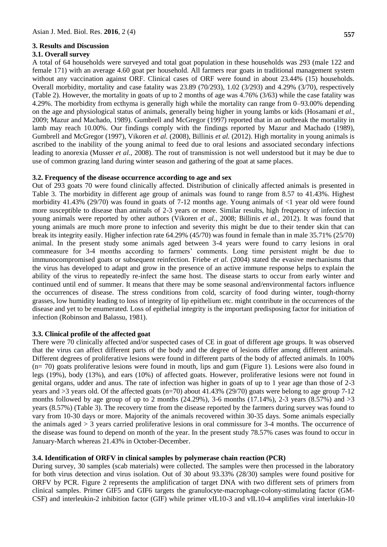### **3. Results and Discussion**

#### **3.1. Overall survey**

A total of 64 households were surveyed and total goat population in these households was 293 (male 122 and female 171) with an average 4.60 goat per household. All farmers rear goats in traditional management system without any vaccination against ORF. Clinical cases of ORF were found in about 23.44% (15) households. Overall morbidity, mortality and case fatality was 23.89 (70/293), 1.02 (3/293) and 4.29% (3/70), respectively (Table 2). However, the mortality in goats of up to 2 months of age was 4.76% (3/63) while the case fatality was 4.29%. The morbidity from ecthyma is generally high while the mortality can range from 0–93.00% depending on the age and physiological status of animals, generally being higher in young lambs or kids (Hosamani *et al.,* 2009; Mazur and Machado, 1989). Gumbrell and McGregor (1997) reported that in an outbreak the mortality in lamb may reach 10.00%. Our findings comply with the findings reported by Mazur and Machado (1989), Gumbrell and McGregor (1997), Vikoren *et al.* (2008), Billinis *et al.* (2012). High mortality in young animals is ascribed to the inability of the young animal to feed due to oral lesions and associated secondary infections leading to anorexia (Musser *et al.,* 2008). The rout of transmission is not well understood but it may be due to use of common grazing land during winter season and gathering of the goat at same places.

#### **3.2. Frequency of the disease occurrence according to age and sex**

Out of 293 goats 70 were found clinically affected. Distribution of clinically affected animals is presented in Table 3. The morbidity in different age group of animals was found to range from 8.57 to 41.43%. Highest morbidity 41.43% (29/70) was found in goats of 7-12 months age. Young animals of <1 year old were found more susceptible to disease than animals of 2-3 years or more. Similar results, high frequency of infection in young animals were reported by other authors (Vikoren *et al.,* 2008; Billinis *et al.,* 2012). It was found that young animals are much more prone to infection and severity this might be due to their tender skin that can break its integrity easily. Higher infection rate 64.29% (45/70) was found in female than in male 35.71% (25/70) animal. In the present study some animals aged between 3-4 years were found to carry lesions in oral commeasure for 3-4 months according to farmers' comments. Long time persistent might be due to immunocompromised goats or subsequent reinfection. Friebe *et al.* (2004) stated the evasive mechanisms that the virus has developed to adapt and grow in the presence of an active immune response helps to explain the ability of the virus to repeatedly re-infect the same host. The disease starts to occur from early winter and continued until end of summer. It means that there may be some seasonal and/environmental factors influence the occurrences of disease. The stress conditions from cold, scarcity of food during winter, tough-thorny grasses, low humidity leading to loss of integrity of lip epithelium etc. might contribute in the occurrences of the disease and yet to be enumerated. Loss of epithelial integrity is the important predisposing factor for initiation of infection (Robinson and Balassu, 1981).

# **3.3. Clinical profile of the affected goat**

There were 70 clinically affected and/or suspected cases of CE in goat of different age groups. It was observed that the virus can affect different parts of the body and the degree of lesions differ among different animals. Different degrees of proliferative lesions were found in different parts of the body of affected animals. In 100% (n= 70) goats proliferative lesions were found in mouth, lips and gum (Figure 1). Lesions were also found in legs (19%), body (13%), and ears (10%) of affected goats. However, proliferative lesions were not found in genital organs, udder and anus. The rate of infection was higher in goats of up to 1 year age than those of 2-3 years and >3 years old. Of the affected goats (n=70) about 41.43% (29/70) goats were belong to age group 7-12 months followed by age group of up to 2 months  $(24.29\%)$ , 3-6 months  $(17.14\%)$ , 2-3 years  $(8.57\%)$  and  $>3$ years (8.57%) (Table 3). The recovery time from the disease reported by the farmers during survey was found to vary from 10-30 days or more. Majority of the animals recovered within 30-35 days. Some animals especially the animals aged > 3 years carried proliferative lesions in oral commissure for 3-4 months. The occurrence of the disease was found to depend on month of the year. In the present study 78.57% cases was found to occur in January-March whereas 21.43% in October-December.

# **3.4. Identification of ORFV in clinical samples by polymerase chain reaction (PCR)**

During survey, 30 samples (scab materials) were collected. The samples were then processed in the laboratory for both virus detection and virus isolation. Out of 30 about 93.33% (28/30) samples were found positive for ORFV by PCR. Figure 2 represents the amplification of target DNA with two different sets of primers from clinical samples. Primer GIF5 and GIF6 targets the granulocyte-macrophage-colony-stimulating factor (GM-CSF) and interleukin-2 inhibition factor (GIF) while primer vIL10-3 and vIL10-4 amplifies viral interlukin-10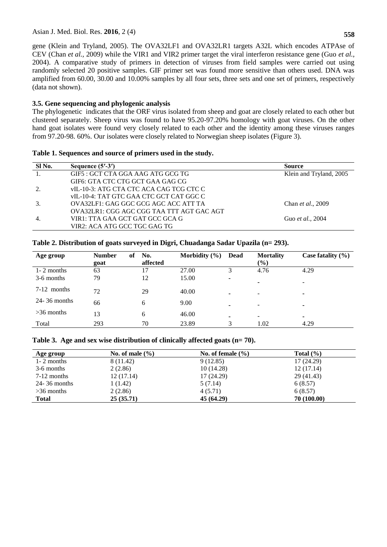gene (Klein and Tryland, 2005). The OVA32LF1 and OVA32LR1 targets A32L which encodes ATPAse of CEV (Chan *et al.,* 2009) while the VIR1 and VIR2 primer target the viral interferon resistance gene (Guo *et al.,* 2004). A comparative study of primers in detection of viruses from field samples were carried out using randomly selected 20 positive samples. GIF primer set was found more sensitive than others used. DNA was amplified from 60.00, 30.00 and 10.00% samples by all four sets, three sets and one set of primers, respectively (data not shown).

# **3.5. Gene sequencing and phylogenic analysis**

The phylogenetic indicates that the ORF virus isolated from sheep and goat are closely related to each other but clustered separately. Sheep virus was found to have 95.20-97.20% homology with goat viruses. On the other hand goat isolates were found very closely related to each other and the identity among these viruses ranges from 97.20-98. 60%. Our isolates were closely related to Norwegian sheep isolates (Figure 3).

### **Table 1. Sequences and source of primers used in the study.**

| SI No.    | Sequence $(5'$ -3')                       | <b>Source</b>           |
|-----------|-------------------------------------------|-------------------------|
| $\pm 1$ . | GIF5 : GCT CTA GGA AAG ATG GCG TG         | Klein and Tryland, 2005 |
|           | GIF6: GTA CTC CTG GCT GAA GAG CG          |                         |
|           | vIL-10-3: ATG CTA CTC ACA CAG TCG CTC C   |                         |
|           | vIL-10-4: TAT GTC GAA CTC GCT CAT GGC C   |                         |
| 3.        | OVA32LF1: GAG GGC GCG AGC ACC ATT TA      | Chan et al., 2009       |
|           | OVA32LR1: CGG AGC CGG TAA TTT AGT GAC AGT |                         |
| 4.        | VIR1: TTA GAA GCT GAT GCC GCA G           | Guo et al., 2004        |
|           | VIR2: ACA ATG GCC TGC GAG TG              |                         |

# **Table 2. Distribution of goats surveyed in Digri, Chuadanga Sadar Upazila (n= 293).**

| Age group        | <b>Number</b><br>of | No.      | Morbidity $(\% )$ | <b>Dead</b> | <b>Mortality</b>         | Case fatality $(\% )$ |
|------------------|---------------------|----------|-------------------|-------------|--------------------------|-----------------------|
|                  | goat                | affected |                   |             | $(\%)$                   |                       |
| $1 - 2$ months   | 63                  | 17       | 27.00             |             | 4.76                     | 4.29                  |
| 3-6 months       | 79                  | 12       | 15.00             |             |                          |                       |
|                  |                     |          |                   |             | $\blacksquare$           |                       |
| $7-12$ months    | 72                  | 29       | 40.00             | -           | -                        |                       |
| $24 - 36$ months | 66                  | 6        | 9.00              |             |                          |                       |
|                  |                     |          |                   |             | $\overline{\phantom{a}}$ | ۰                     |
| $>36$ months     | 13                  | 6        | 46.00             |             | $\overline{\phantom{a}}$ |                       |
| Total            | 293                 | 70       | 23.89             | 3           | 1.02                     | 4.29                  |
|                  |                     |          |                   |             |                          |                       |

# **Table 3. Age and sex wise distribution of clinically affected goats (n= 70).**

| Age group        | No. of male $(\% )$ | No. of female $(\% )$ | Total $(\% )$ |
|------------------|---------------------|-----------------------|---------------|
| $1 - 2$ months   | 8 (11.42)           | 9(12.85)              | 17(24.29)     |
| 3-6 months       | 2(2.86)             | 10(14.28)             | 12(17.14)     |
| $7-12$ months    | 12(17.14)           | 17 (24.29)            | 29 (41.43)    |
| $24 - 36$ months | 1 (1.42)            | 5(7.14)               | 6(8.57)       |
| $>36$ months     | 2(2.86)             | 4(5.71)               | 6(8.57)       |
| <b>Total</b>     | 25(35.71)           | 45 (64.29)            | 70 (100.00)   |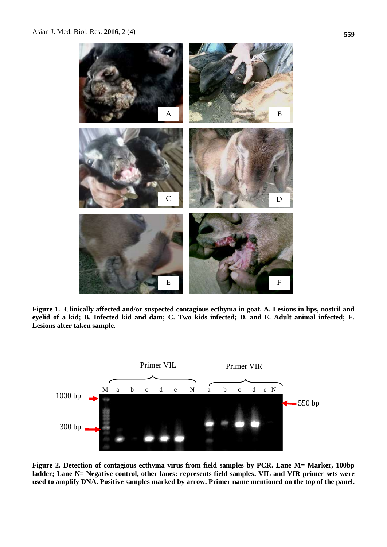

**Figure 1. Clinically affected and/or suspected contagious ecthyma in goat. A. Lesions in lips, nostril and eyelid of a kid; B. Infected kid and dam; C. Two kids infected; D. and E. Adult animal infected; F. Lesions after taken sample.**



**Figure 2. Detection of contagious ecthyma virus from field samples by PCR. Lane M= Marker, 100bp ladder; Lane N= Negative control, other lanes: represents field samples. VIL and VIR primer sets were used to amplify DNA. Positive samples marked by arrow. Primer name mentioned on the top of the panel.**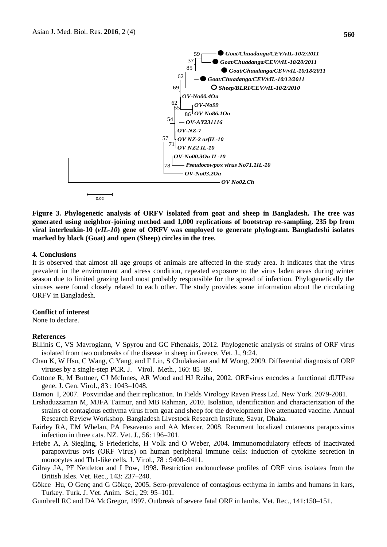

**Figure 3. Phylogenetic analysis of ORFV isolated from goat and sheep in Bangladesh. The tree was generated using neighbor-joining method and 1,000 replications of bootstrap re-sampling. 235 bp from viral interleukin-10 (***vIL-10***) gene of ORFV was employed to generate phylogram. Bangladeshi isolates marked by black (Goat) and open (Sheep) circles in the tree.**

#### **4. Conclusions**

It is observed that almost all age groups of animals are affected in the study area. It indicates that the virus prevalent in the environment and stress condition, repeated exposure to the virus laden areas during winter season due to limited grazing land most probably responsible for the spread of infection. Phylogenetically the viruses were found closely related to each other. The study provides some information about the circulating ORFV in Bangladesh.

#### **Conflict of interest**

None to declare.

#### **References**

- Billinis C, VS Mavrogiann, V Spyrou and GC Fthenakis, 2012. Phylogenetic analysis of strains of ORF virus isolated from two outbreaks of the disease in sheep in Greece. Vet. J., 9:24.
- Chan K, W Hsu, C Wang, C Yang, and F Lin, S Chulakasian and M Wong, 2009. Differential diagnosis of ORF viruses by a single-step PCR. J. Virol. Meth., 160: 85–89.
- Cottone R, M Buttner, CJ McInnes, AR Wood and HJ Rziha, 2002. ORFvirus encodes a functional dUTPase gene. J. Gen. Virol., 83 : 1043–1048.
- Damon I, 2007. Poxviridae and their replication. In Fields Virology Raven Press Ltd. New York. 2079-2081.
- Ershaduzzaman M, MJFA Taimur, and MB Rahman, 2010. Isolation, identification and characterization of the strains of contagious ecthyma virus from goat and sheep for the development live attenuated vaccine. Annual Research Review Workshop. Bangladesh Livestock Research Institute, Savar, Dhaka.
- Fairley RA, EM Whelan, PA Pesavento and AA Mercer, 2008. Recurrent localized cutaneous parapoxvirus infection in three cats. NZ. Vet. J., 56: 196–201.
- Friebe A, A Siegling, S Friederichs, H Volk and O Weber, 2004. Immunomodulatory effects of inactivated parapoxvirus ovis (ORF Virus) on human peripheral immune cells: induction of cytokine secretion in monocytes and Th1-like cells. J. Virol., 78 : 9400–9411.
- Gilray JA, PF Nettleton and I Pow, 1998. Restriction endonuclease profiles of ORF virus isolates from the British Isles. Vet. Rec., 143: 237–240.
- Gökce Hu, O Genç and G Gökçe, 2005. Sero-prevalence of contagious ecthyma in lambs and humans in kars, Turkey. Turk. J. Vet. Anim. Sci., 29: 95–101.
-